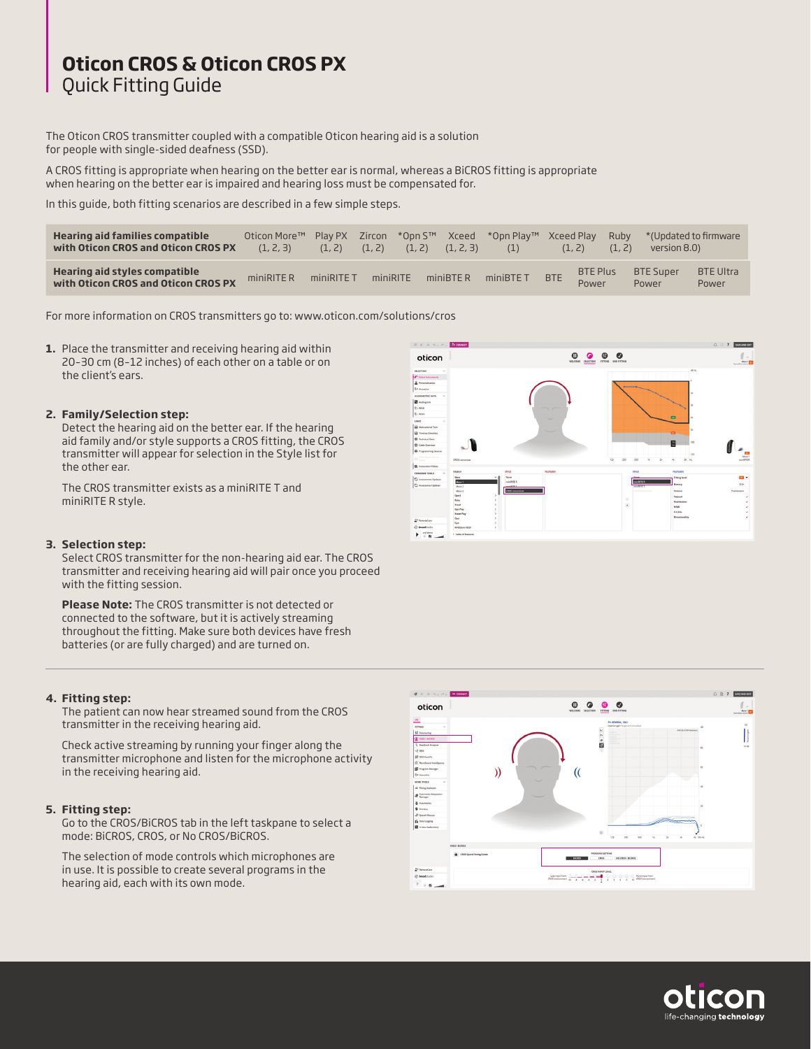# **Oticon CROS & Oticon CROS PX** Quick Fitting Guide

The Oticon CROS transmitter coupled with a compatible Oticon hearing aid is a solution for people with single-sided deafness (SSD).

A CROS fitting is appropriate when hearing on the better ear is normal, whereas a BiCROS fitting is appropriate when hearing on the better ear is impaired and hearing loss must be compensated for.

In this guide, both fitting scenarios are described in a few simple steps.

| <b>Hearing aid families compatible</b><br>with Oticon CROS and Oticon CROS PX | Oticon More™<br>(1, 2, 3) | Play PX<br>(1, 2) | (1, 2)   | Zircon *Opn S™<br>(1, 2) | Xceed<br>(1, 2, 3) | *Opn Plav™ Xceed Play<br>(1) |            | (1, 2)                   | Ruby<br>(1, 2) | version 8.0)              | *(Updated to firmware     |
|-------------------------------------------------------------------------------|---------------------------|-------------------|----------|--------------------------|--------------------|------------------------------|------------|--------------------------|----------------|---------------------------|---------------------------|
| Hearing aid styles compatible<br>with Oticon CROS and Oticon CROS PX          | miniRITE R                | miniRITE T        | miniRITE |                          | $mini$ BTER        | miniBTE T                    | <b>BTE</b> | <b>BTE Plus</b><br>Power |                | <b>BTE Super</b><br>Power | <b>BTE Ultra</b><br>Power |

For more information on CROS transmitters go to: www.oticon.com/solutions/cros

**1.** Place the transmitter and receiving hearing aid within 20–30 cm (8–12 inches) of each other on a table or on the client's ears.

#### **2. Family/Selection step:**

Detect the hearing aid on the better ear. If the hearing aid family and/or style supports a CROS fitting, the CROS transmitter will appear for selection in the Style list for the other ear.

The CROS transmitter exists as a miniRITE T and miniRITE R style.

#### **3. Selection step:**

Select CROS transmitter for the non-hearing aid ear. The CROS transmitter and receiving hearing aid will pair once you proceed with the fitting session.

 **Please Note:** The CROS transmitter is not detected or connected to the software, but it is actively streaming throughout the fitting. Make sure both devices have fresh batteries (or are fully charged) and are turned on.

#### **4. Fitting step:**

The patient can now hear streamed sound from the CROS transmitter in the receiving hearing aid.

 Check active streaming by running your finger along the transmitter microphone and listen for the microphone activity in the receiving hearing aid.

#### **5. Fitting step:**

Go to the CROS/BiCROS tab in the left taskpane to select a mode: BiCROS, CROS, or No CROS/BiCROS.

The selection of mode controls which microphones are in use. It is possible to create several programs in the hearing aid, each with its own mode.